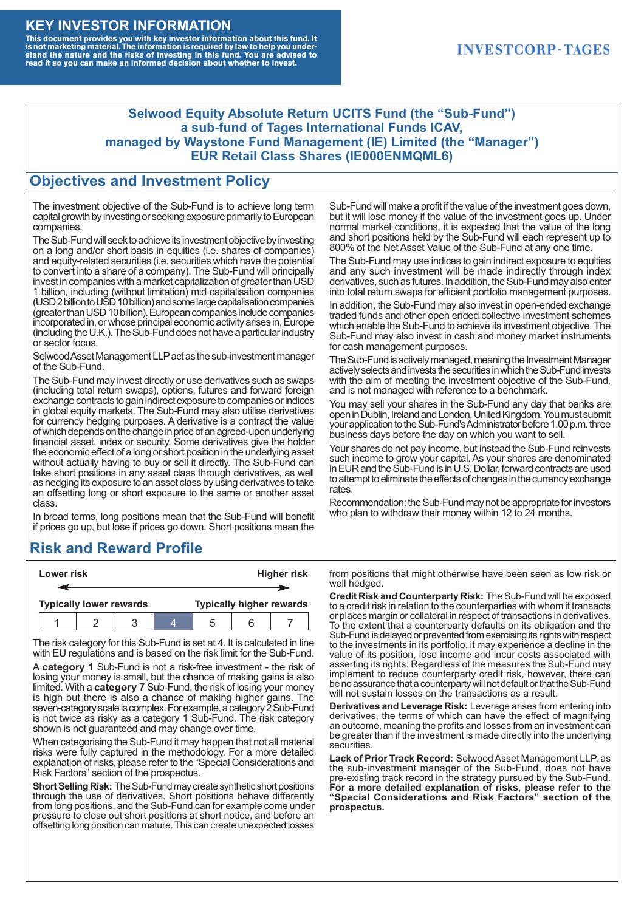#### **KEY INVESTOR INFORMATION**

This document provides you with key investor information about this fund. It<br>is not marketing material. The information is required by law to help you under-<br>stand the nature and the risks of investing in this fund. You ar

#### **INVESTCORP-TAGES**

#### **Selwood Equity Absolute Return UCITS Fund (the "Sub-Fund") a sub-fund of Tages International Funds ICAV, managed by Waystone Fund Management (IE) Limited (the "Manager") EUR Retail Class Shares (IE000ENMQML6)**

#### **Objectives and Investment Policy**

The investment objective of the Sub-Fund is to achieve long term capital growth by investing or seeking exposure primarily to European companies.

The Sub-Fund will seek to achieve its investment objective by investing on a long and/or short basis in equities (i.e. shares of companies) and equity-related securities (i.e. securities which have the potential to convert into a share of a company). The Sub-Fund will principally invest in companies with a market capitalization of greater than USD 1 billion, including (without limitation) mid capitalisation companies (USD 2 billion to USD 10 billion) and some large capitalisation companies (greaterthanUSD10billion).European companiesinclude companies incorporated in, or whose principal economic activity arises in, Europe (including the U.K.). The Sub-Fund does not have a particular industry or sector focus.

Selwood Asset Management LLP act as the sub-investment manager of the Sub-Fund.

The Sub-Fund may invest directly or use derivatives such as swaps (including total return swaps), options, futures and forward foreign exchange contracts to gain indirect exposure to companies or indices in global equity markets. The Sub-Fund may also utilise derivatives for currency hedging purposes. A derivative is a contract the value of which depends on the change in price of an agreed-upon underlying financial asset, index or security. Some derivatives give the holder the economic effect of a long or short position in the underlying asset without actually having to buy or sell it directly. The Sub-Fund can take short positions in any asset class through derivatives, as well as hedging its exposure to an asset class by using derivatives to take an offsetting long or short exposure to the same or another asset class.

In broad terms, long positions mean that the Sub-Fund will benefit if prices go up, but lose if prices go down. Short positions mean the

## **Risk and Reward Profile**

|                                | Lower risk |  |  | <b>Higher risk</b>              |  |  |
|--------------------------------|------------|--|--|---------------------------------|--|--|
|                                |            |  |  |                                 |  |  |
| <b>Typically lower rewards</b> |            |  |  | <b>Typically higher rewards</b> |  |  |
|                                |            |  |  | :5                              |  |  |

The risk category for this Sub-Fund is set at 4. It is calculated in line with EU regulations and is based on the risk limit for the Sub-Fund.

A **category 1** Sub-Fund is not a risk-free investment - the risk of losing your money is small, but the chance of making gains is also limited. With a **category 7** Sub-Fund, the risk of losing your money is high but there is also a chance of making higher gains. The seven-category scale is complex. For example, a category 2 Sub-Fund is not twice as risky as a category 1 Sub-Fund. The risk category shown is not guaranteed and may change over time.

When categorising the Sub-Fund it may happen that not all material risks were fully captured in the methodology. For a more detailed explanation of risks, please refer to the "Special Considerations and Risk Factors" section of the prospectus.

**Short Selling Risk:** The Sub-Fund may create synthetic short positions through the use of derivatives. Short positions behave differently from long positions, and the Sub-Fund can for example come under pressure to close out short positions at short notice, and before an offsetting long position can mature. This can create unexpected losses

Sub-Fund will make a profit if the value of the investment goes down, but it will lose money if the value of the investment goes up. Under normal market conditions, it is expected that the value of the long and short positions held by the Sub-Fund will each represent up to 800% of the Net Asset Value of the Sub-Fund at any one time.

The Sub-Fund may use indices to gain indirect exposure to equities and any such investment will be made indirectly through index derivatives, such as futures. In addition, the Sub-Fund may also enter into total return swaps for efficient portfolio management purposes.

In addition, the Sub-Fund may also invest in open-ended exchange traded funds and other open ended collective investment schemes which enable the Sub-Fund to achieve its investment objective. The Sub-Fund may also invest in cash and money market instruments for cash management purposes.

The Sub-Fund is actively managed, meaning the Investment Manager actively selects and invests the securities in which the Sub-Fund invests with the aim of meeting the investment objective of the Sub-Fund, and is not managed with reference to a benchmark.

You may sell your shares in the Sub-Fund any day that banks are open in Dublin, Ireland and London, United Kingdom. You must submit your application to the Sub-Fund's Administrator before 1.00 p.m. three business days before the day on which you want to sell.

Your shares do not pay income, but instead the Sub-Fund reinvests such income to grow your capital. As your shares are denominated in EUR and the Sub-Fund is in U.S. Dollar, forward contracts are used to attempt to eliminate the effects of changes in the currency exchange rates.

Recommendation: the Sub-Fund may not be appropriate for investors who plan to withdraw their money within 12 to 24 months.

from positions that might otherwise have been seen as low risk or well hedged.

**Credit Risk and Counterparty Risk:** The Sub-Fund will be exposed to a credit risk in relation to the counterparties with whom it transacts or places margin or collateral in respect of transactions in derivatives. To the extent that a counterparty defaults on its obligation and the Sub-Fund is delayed or prevented from exercising its rights with respect to the investments in its portfolio, it may experience a decline in the value of its position, lose income and incur costs associated with asserting its rights. Regardless of the measures the Sub-Fund may implement to reduce counterparty credit risk, however, there can be no assurance that a counterparty will not default or that the Sub-Fund will not sustain losses on the transactions as a result.

**Derivatives and Leverage Risk:** Leverage arises from entering into derivatives, the terms of which can have the effect of magnifying an outcome, meaning the profits and losses from an investment can be greater than if the investment is made directly into the underlying **securities**.

**Lack of Prior Track Record:** Selwood Asset Management LLP, as the sub-investment manager of the Sub-Fund, does not have pre-existing track record in the strategy pursued by the Sub-Fund. **For a more detailed explanation of risks, please refer to the "Special Considerations and Risk Factors" section of the prospectus.**